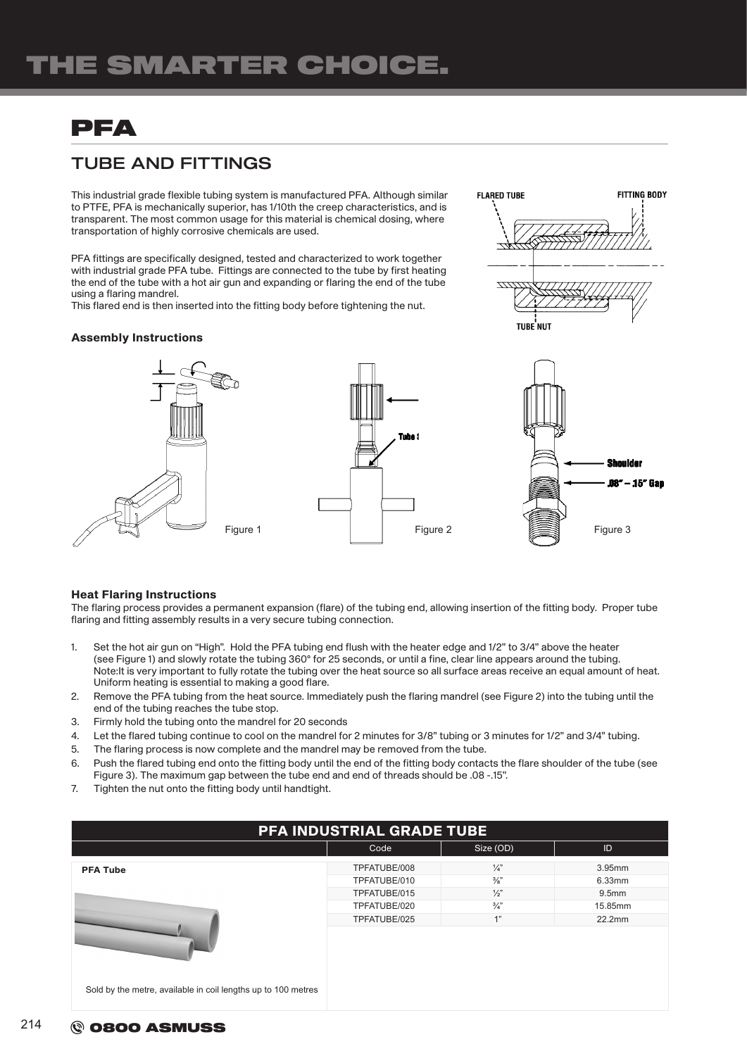# PFA

## TUBE AND FITTINGS

This industrial grade flexible tubing system is manufactured PFA. Although similar to PTFE, PFA is mechanically superior, has 1/10th the creep characteristics, and is transparent. The most common usage for this material is chemical dosing, where transportation of highly corrosive chemicals are used.

PFA fittings are specifically designed, tested and characterized to work together with industrial grade PFA tube. Fittings are connected to the tube by first heating the end of the tube with a hot air gun and expanding or flaring the end of the tube using a flaring mandrel.

This flared end is then inserted into the fitting body before tightening the nut.

#### Assembly Instructions



**FITTING BODY** 

**FLARED TURE** 

TURE NUT

#### Heat Flaring Instructions

The flaring process provides a permanent expansion (flare) of the tubing end, allowing insertion of the fitting body. Proper tube flaring and fitting assembly results in a very secure tubing connection.

- 1. Set the hot air gun on "High". Hold the PFA tubing end flush with the heater edge and 1/2" to 3/4" above the heater (see Figure 1) and slowly rotate the tubing 360° for 25 seconds, or until a fine, clear line appears around the tubing. Note:It is very important to fully rotate the tubing over the heat source so all surface areas receive an equal amount of heat. Uniform heating is essential to making a good flare.
- 2. Remove the PFA tubing from the heat source. Immediately push the flaring mandrel (see Figure 2) into the tubing until the end of the tubing reaches the tube stop.
- 3. Firmly hold the tubing onto the mandrel for 20 seconds
- 4. Let the flared tubing continue to cool on the mandrel for 2 minutes for 3/8" tubing or 3 minutes for 1/2" and 3/4" tubing.
- 5. The flaring process is now complete and the mandrel may be removed from the tube.
- 6. Push the flared tubing end onto the fitting body until the end of the fitting body contacts the flare shoulder of the tube (see Figure 3). The maximum gap between the tube end and end of threads should be .08 -.15".
- 7. Tighten the nut onto the fitting body until handtight.

| PFA INDUSTRIAL GRADE TUBE                                     |              |                 |                   |  |  |  |
|---------------------------------------------------------------|--------------|-----------------|-------------------|--|--|--|
|                                                               | Code         | Size (OD)       | ID                |  |  |  |
| <b>PFA Tube</b>                                               | TPFATUBE/008 | $\frac{1}{4}$   | $3.95$ mm         |  |  |  |
|                                                               | TPFATUBE/010 | $\frac{3}{8}$ " | 6.33mm            |  |  |  |
|                                                               | TPFATUBE/015 | $\frac{1}{2}$   | 9.5 <sub>mm</sub> |  |  |  |
|                                                               | TPFATUBE/020 | $\frac{3}{4}$   | 15.85mm           |  |  |  |
|                                                               | TPFATUBE/025 | 1"              | 22.2mm            |  |  |  |
|                                                               |              |                 |                   |  |  |  |
| Sold by the metre, available in coil lengths up to 100 metres |              |                 |                   |  |  |  |